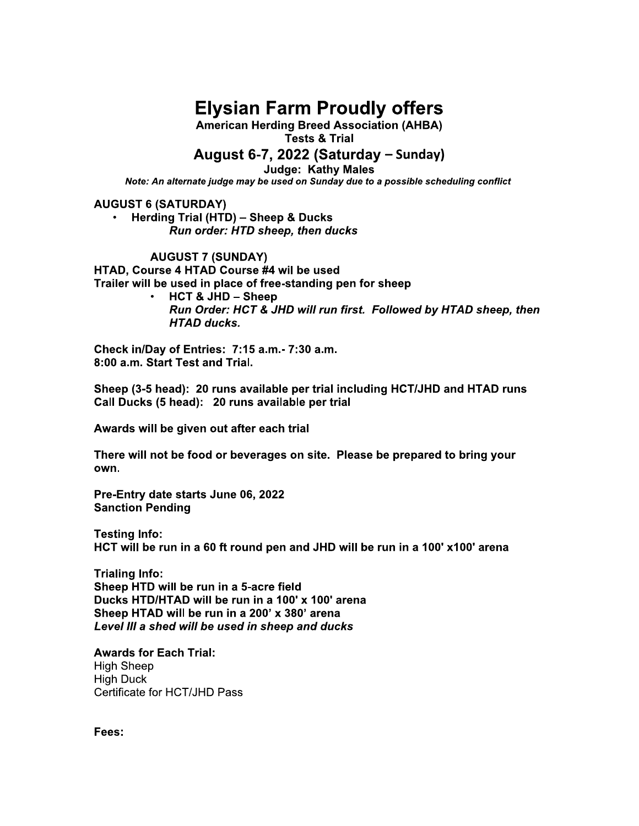## **Elysian Farm Proudly offers**

**American Herding Breed Association (AHBA) Tests & Trial** 

### August 6-7, 2022 (Saturday – Sunday)

**Judge: Kathy Males** 

Note: An alternate judge may be used on Sunday due to a possible scheduling conflict

**AUGUST 6 (SATURDAY)** 

Herding Trial (HTD) - Sheep & Ducks Run order: HTD sheep, then ducks

**AUGUST 7 (SUNDAY)** HTAD, Course 4 HTAD Course #4 wil be used Trailer will be used in place of free-standing pen for sheep

**HCT & JHD - Sheep** Run Order: HCT & JHD will run first. Followed by HTAD sheep, then **HTAD ducks.** 

Check in/Day of Entries: 7:15 a.m.- 7:30 a.m. 8:00 a.m. Start Test and Trial.

Sheep (3-5 head): 20 runs available per trial including HCT/JHD and HTAD runs Call Ducks (5 head): 20 runs available per trial

Awards will be given out after each trial

There will not be food or beverages on site. Please be prepared to bring your own.

Pre-Entry date starts June 06, 2022 **Sanction Pending** 

**Testing Info:** HCT will be run in a 60 ft round pen and JHD will be run in a 100' x100' arena

**Trialing Info:** Sheep HTD will be run in a 5-acre field Ducks HTD/HTAD will be run in a 100' x 100' arena Sheep HTAD will be run in a 200' x 380' arena Level III a shed will be used in sheep and ducks

**Awards for Each Trial: High Sheep High Duck** Certificate for HCT/JHD Pass

Fees: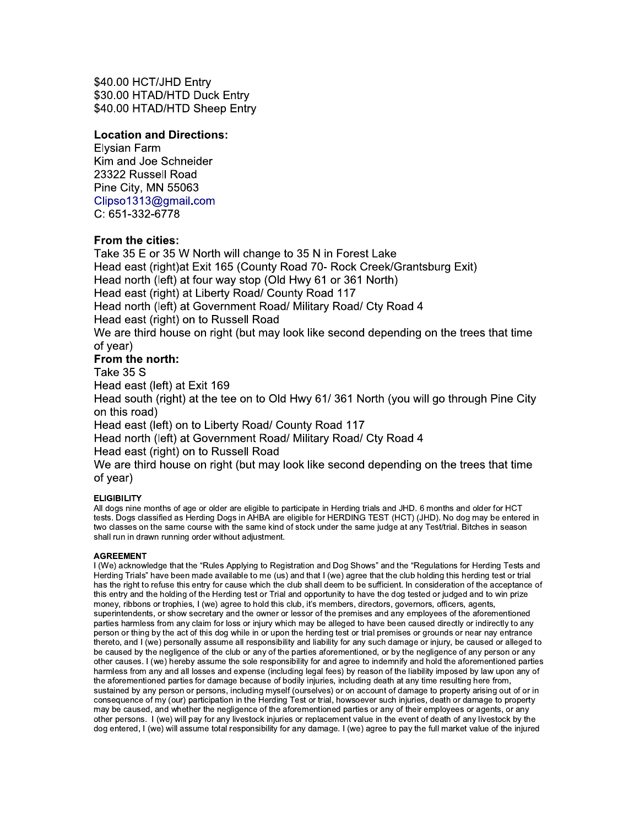\$40.00 HCT/JHD Entry \$30.00 HTAD/HTD Duck Entry \$40.00 HTAD/HTD Sheep Entry

#### **Location and Directions:**

Elysian Farm Kim and Joe Schneider 23322 Russell Road Pine City, MN 55063 Clipso1313@gmail.com C: 651-332-6778

#### From the cities:

Take 35 E or 35 W North will change to 35 N in Forest Lake Head east (right) at Exit 165 (County Road 70- Rock Creek/Grantsburg Exit) Head north (left) at four way stop (Old Hwy 61 or 361 North) Head east (right) at Liberty Road/ County Road 117 Head north (left) at Government Road/ Military Road/ Cty Road 4 Head east (right) on to Russell Road We are third house on right (but may look like second depending on the trees that time of vear) From the north:

#### Take 35 S

Head east (left) at Exit 169

Head south (right) at the tee on to Old Hwy 61/361 North (you will go through Pine City on this road)

Head east (left) on to Liberty Road/ County Road 117

Head north (left) at Government Road/ Military Road/ Cty Road 4

Head east (right) on to Russell Road

We are third house on right (but may look like second depending on the trees that time of year)

#### **ELIGIBILITY**

All dogs nine months of age or older are eligible to participate in Herding trials and JHD. 6 months and older for HCT tests. Dogs classified as Herding Dogs in AHBA are eligible for HERDING TEST (HCT) (JHD). No dog may be entered in two classes on the same course with the same kind of stock under the same judge at any Test/trial. Bitches in season shall run in drawn running order without adjustment.

#### **AGREEMENT**

I (We) acknowledge that the "Rules Applying to Registration and Dog Shows" and the "Regulations for Herding Tests and Herding Trials" have been made available to me (us) and that I (we) agree that the club holding this herding test or trial has the right to refuse this entry for cause which the club shall deem to be sufficient. In consideration of the acceptance of this entry and the holding of the Herding test or Trial and opportunity to have the dog tested or judged and to win prize money, ribbons or trophies, I (we) agree to hold this club, it's members, directors, governors, officers, agents, superintendents, or show secretary and the owner or lessor of the premises and any employees of the aforementioned parties harmless from any claim for loss or injury which may be alleged to have been caused directly or indirectly to any person or thing by the act of this dog while in or upon the herding test or trial premises or grounds or near nay entrance thereto, and I (we) personally assume all responsibility and liability for any such damage or injury, be caused or alleged to be caused by the negligence of the club or any of the parties aforementioned, or by the negligence of any person or any other causes. I (we) hereby assume the sole responsibility for and agree to indemnify and hold the aforementioned parties harmless from any and all losses and expense (including legal fees) by reason of the liability imposed by law upon any of the aforementioned parties for damage because of bodily injuries, including death at any time resulting here from, sustained by any person or persons, including myself (ourselves) or on account of damage to property arising out of or in consequence of my (our) participation in the Herding Test or trial, howsoever such injuries, death or damage to property may be caused, and whether the negligence of the aforementioned parties or any of their employees or agents, or any other persons. I (we) will pay for any livestock injuries or replacement value in the event of death of any livestock by the dog entered, I (we) will assume total responsibility for any damage. I (we) agree to pay the full market value of the injured